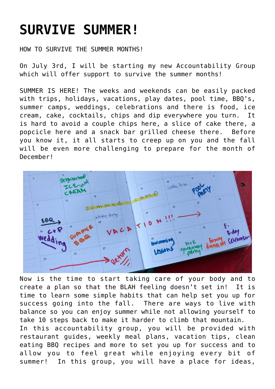## **[SURVIVE SUMMER!](https://alethiatruefit.com/uncategorized/survive-summer/)**

HOW TO SURVIVE THE SUMMER MONTHS!

On July 3rd, I will be starting my new Accountability Group which will offer support to survive the summer months!

SUMMER IS HERE! The weeks and weekends can be easily packed with trips, holidays, vacations, play dates, pool time, BBQ's, summer camps, weddings, celebrations and there is food, ice cream, cake, cocktails, chips and dip everywhere you turn. It is hard to avoid a couple chips here, a slice of cake there, a popcicle here and a snack bar grilled cheese there. Before you know it, it all starts to creep up on you and the fall will be even more challenging to prepare for the month of December!



Now is the time to start taking care of your body and to create a plan so that the BLAH feeling doesn't set in! It is time to learn some simple habits that can help set you up for success going into the fall. There are ways to live with balance so you can enjoy summer while not allowing yourself to take 10 steps back to make it harder to climb that mountain. In this accountability group, you will be provided with restaurant guides, weekly meal plans, vacation tips, clean eating BBQ recipes and more to set you up for success and to allow you to feel great while enjoying every bit of summer! In this group, you will have a place for ideas,